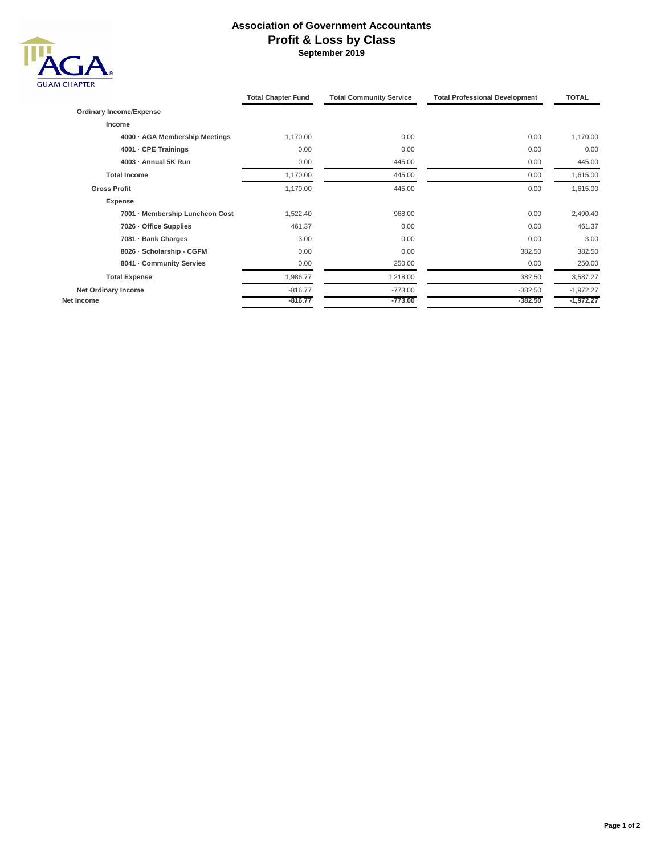## **Association of Government Accountants Profit & Loss by Class September 2019**



|                                 | <b>Total Chapter Fund</b> | <b>Total Community Service</b> | <b>Total Professional Development</b> | <b>TOTAL</b> |
|---------------------------------|---------------------------|--------------------------------|---------------------------------------|--------------|
| <b>Ordinary Income/Expense</b>  |                           |                                |                                       |              |
| Income                          |                           |                                |                                       |              |
| 4000 · AGA Membership Meetings  | 1,170.00                  | 0.00                           | 0.00                                  | 1,170.00     |
| 4001 - CPE Trainings            | 0.00                      | 0.00                           | 0.00                                  | 0.00         |
| 4003 - Annual 5K Run            | 0.00                      | 445.00                         | 0.00                                  | 445.00       |
| <b>Total Income</b>             | 1,170.00                  | 445.00                         | 0.00                                  | 1,615.00     |
| <b>Gross Profit</b>             | 1,170.00                  | 445.00                         | 0.00                                  | 1,615.00     |
| <b>Expense</b>                  |                           |                                |                                       |              |
| 7001 - Membership Luncheon Cost | 1,522.40                  | 968.00                         | 0.00                                  | 2,490.40     |
| 7026 - Office Supplies          | 461.37                    | 0.00                           | 0.00                                  | 461.37       |
| 7081 - Bank Charges             | 3.00                      | 0.00                           | 0.00                                  | 3.00         |
| 8026 - Scholarship - CGFM       | 0.00                      | 0.00                           | 382.50                                | 382.50       |
| 8041 - Community Servies        | 0.00                      | 250.00                         | 0.00                                  | 250.00       |
| <b>Total Expense</b>            | 1,986.77                  | 1,218.00                       | 382.50                                | 3,587.27     |
| <b>Net Ordinary Income</b>      | $-816.77$                 | $-773.00$                      | $-382.50$                             | $-1,972.27$  |
| Net Income                      | $-816.77$                 | $-773.00$                      | $-382.50$                             | $-1,972.27$  |